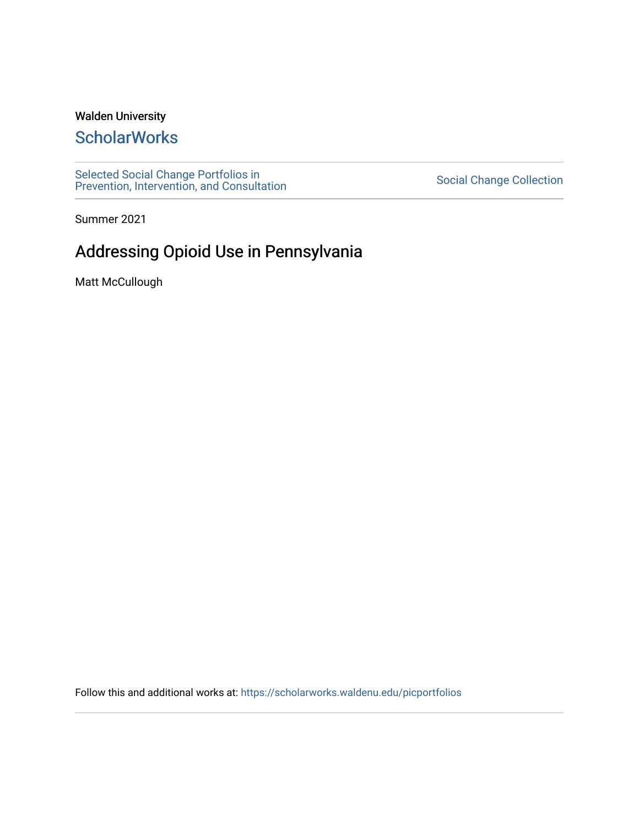# Walden University

# **ScholarWorks**

[Selected Social Change Portfolios in](https://scholarworks.waldenu.edu/picportfolios) Selected Social Change Collection<br>[Prevention, Intervention, and Consultation](https://scholarworks.waldenu.edu/picportfolios) Server Social Change Collection

Summer 2021

# Addressing Opioid Use in Pennsylvania

Matt McCullough

Follow this and additional works at: [https://scholarworks.waldenu.edu/picportfolios](https://scholarworks.waldenu.edu/picportfolios?utm_source=scholarworks.waldenu.edu%2Fpicportfolios%2F35&utm_medium=PDF&utm_campaign=PDFCoverPages)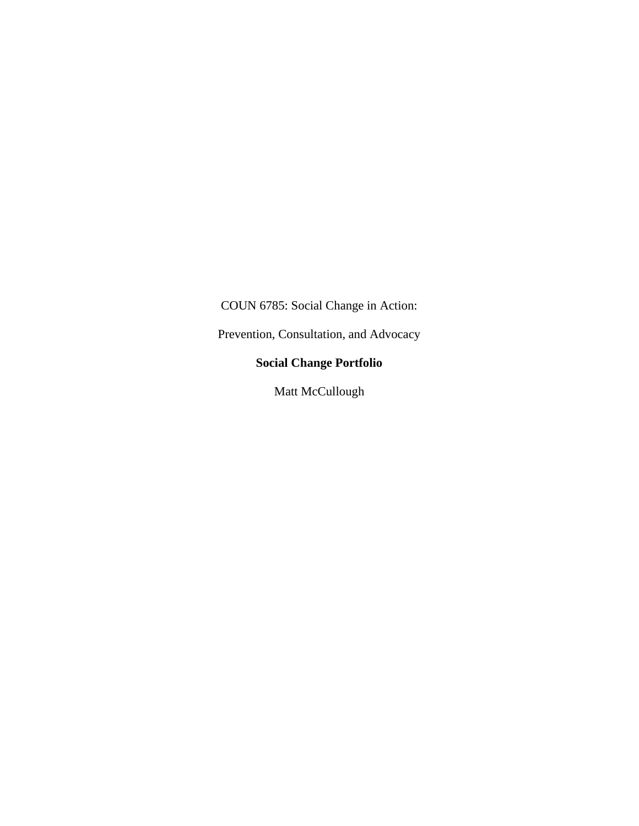COUN 6785: Social Change in Action:

Prevention, Consultation, and Advocacy

# **Social Change Portfolio**

Matt McCullough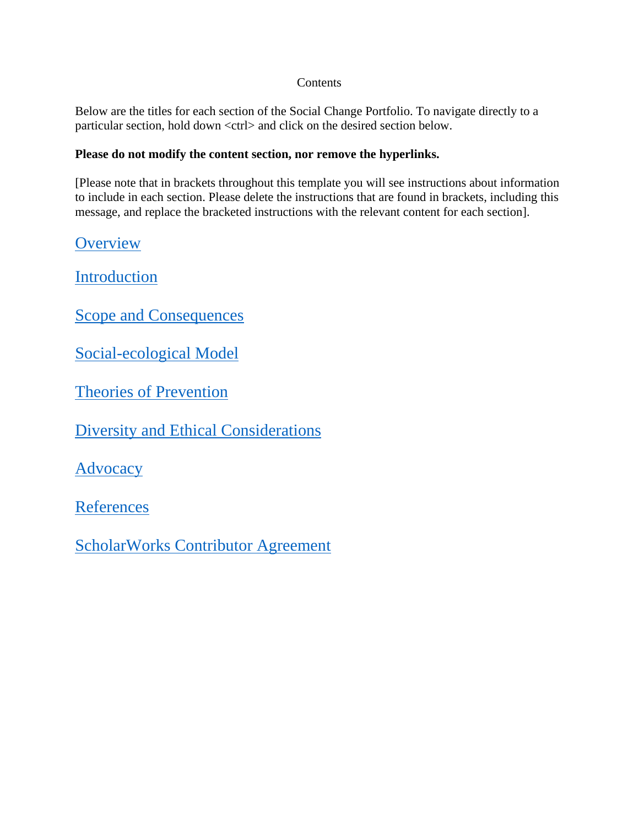### **Contents**

Below are the titles for each section of the Social Change Portfolio. To navigate directly to a particular section, hold down <ctrl> and click on the desired section below.

### **Please do not modify the content section, nor remove the hyperlinks.**

[Please note that in brackets throughout this template you will see instructions about information to include in each section. Please delete the instructions that are found in brackets, including this message, and replace the bracketed instructions with the relevant content for each section].

**[Overview](#page-3-0)** 

[Introduction](#page-4-0)

[Scope and Consequences](#page-4-1)

[Social-ecological Model](#page-5-0)

[Theories of Prevention](#page-7-0)

[Diversity and Ethical Considerations](#page-8-0)

[Advocacy](#page-10-0)

**[References](#page-12-0)** 

[ScholarWorks Contributor Agreement](#page-14-0)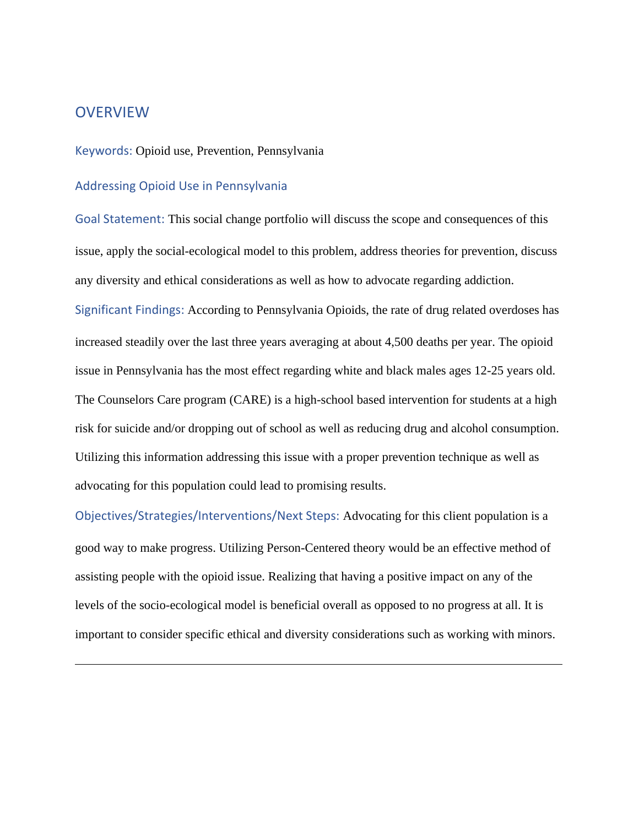# <span id="page-3-0"></span>**OVERVIEW**

#### Keywords: Opioid use, Prevention, Pennsylvania

### Addressing Opioid Use in Pennsylvania

Goal Statement: This social change portfolio will discuss the scope and consequences of this issue, apply the social-ecological model to this problem, address theories for prevention, discuss any diversity and ethical considerations as well as how to advocate regarding addiction.

Significant Findings: According to Pennsylvania Opioids, the rate of drug related overdoses has increased steadily over the last three years averaging at about 4,500 deaths per year. The opioid issue in Pennsylvania has the most effect regarding white and black males ages 12-25 years old. The Counselors Care program (CARE) is a high-school based intervention for students at a high risk for suicide and/or dropping out of school as well as reducing drug and alcohol consumption. Utilizing this information addressing this issue with a proper prevention technique as well as advocating for this population could lead to promising results.

Objectives/Strategies/Interventions/Next Steps: Advocating for this client population is a good way to make progress. Utilizing Person-Centered theory would be an effective method of assisting people with the opioid issue. Realizing that having a positive impact on any of the levels of the socio-ecological model is beneficial overall as opposed to no progress at all. It is important to consider specific ethical and diversity considerations such as working with minors.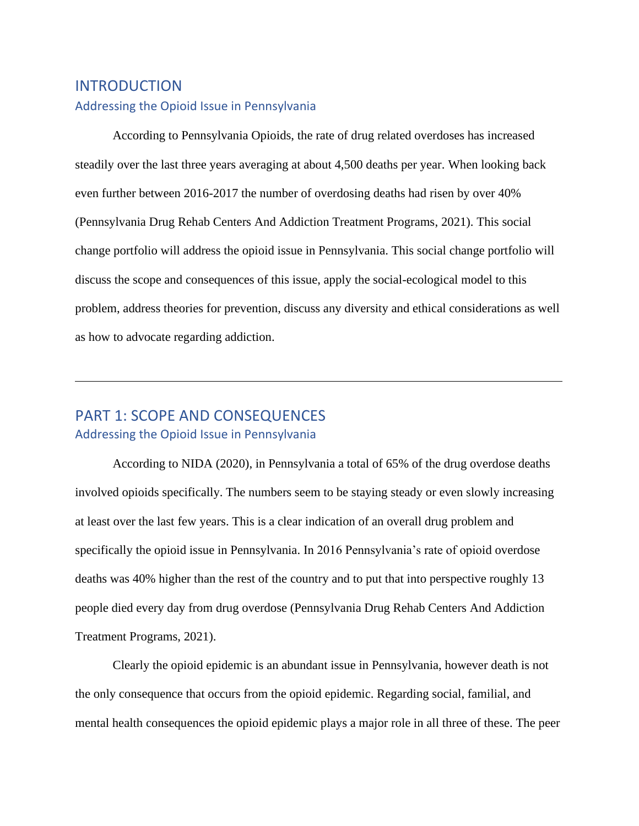# <span id="page-4-0"></span>INTRODUCTION Addressing the Opioid Issue in Pennsylvania

According to Pennsylvania Opioids, the rate of drug related overdoses has increased steadily over the last three years averaging at about 4,500 deaths per year. When looking back even further between 2016-2017 the number of overdosing deaths had risen by over 40% (Pennsylvania Drug Rehab Centers And Addiction Treatment Programs, 2021). This social change portfolio will address the opioid issue in Pennsylvania. This social change portfolio will discuss the scope and consequences of this issue, apply the social-ecological model to this problem, address theories for prevention, discuss any diversity and ethical considerations as well as how to advocate regarding addiction.

# <span id="page-4-1"></span>PART 1: SCOPE AND CONSEQUENCES Addressing the Opioid Issue in Pennsylvania

According to NIDA (2020), in Pennsylvania a total of 65% of the drug overdose deaths involved opioids specifically. The numbers seem to be staying steady or even slowly increasing at least over the last few years. This is a clear indication of an overall drug problem and specifically the opioid issue in Pennsylvania. In 2016 Pennsylvania's rate of opioid overdose deaths was 40% higher than the rest of the country and to put that into perspective roughly 13 people died every day from drug overdose (Pennsylvania Drug Rehab Centers And Addiction Treatment Programs, 2021).

Clearly the opioid epidemic is an abundant issue in Pennsylvania, however death is not the only consequence that occurs from the opioid epidemic. Regarding social, familial, and mental health consequences the opioid epidemic plays a major role in all three of these. The peer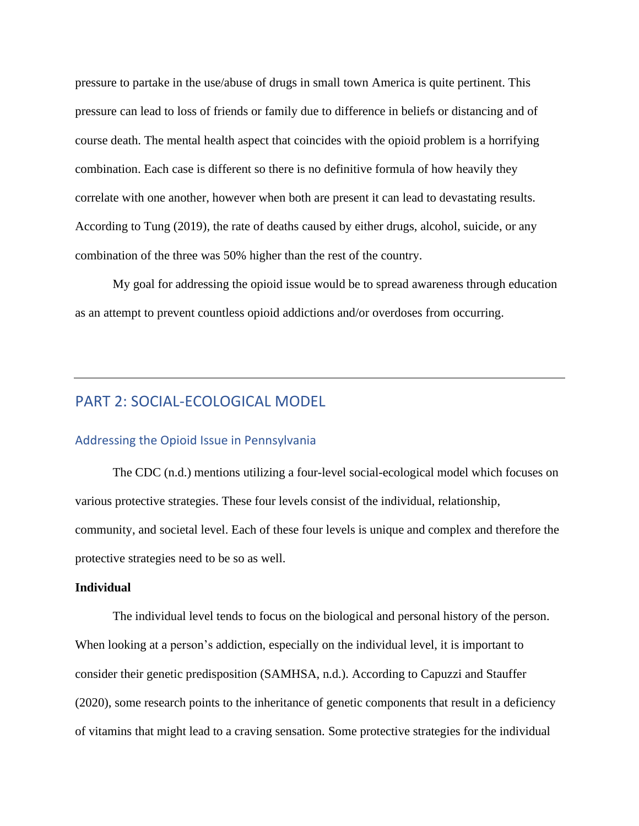pressure to partake in the use/abuse of drugs in small town America is quite pertinent. This pressure can lead to loss of friends or family due to difference in beliefs or distancing and of course death. The mental health aspect that coincides with the opioid problem is a horrifying combination. Each case is different so there is no definitive formula of how heavily they correlate with one another, however when both are present it can lead to devastating results. According to Tung (2019), the rate of deaths caused by either drugs, alcohol, suicide, or any combination of the three was 50% higher than the rest of the country.

My goal for addressing the opioid issue would be to spread awareness through education as an attempt to prevent countless opioid addictions and/or overdoses from occurring.

# <span id="page-5-0"></span>PART 2: SOCIAL-ECOLOGICAL MODEL

#### Addressing the Opioid Issue in Pennsylvania

The CDC (n.d.) mentions utilizing a four-level social-ecological model which focuses on various protective strategies. These four levels consist of the individual, relationship, community, and societal level. Each of these four levels is unique and complex and therefore the protective strategies need to be so as well.

#### **Individual**

The individual level tends to focus on the biological and personal history of the person. When looking at a person's addiction, especially on the individual level, it is important to consider their genetic predisposition (SAMHSA, n.d.). According to Capuzzi and Stauffer (2020), some research points to the inheritance of genetic components that result in a deficiency of vitamins that might lead to a craving sensation. Some protective strategies for the individual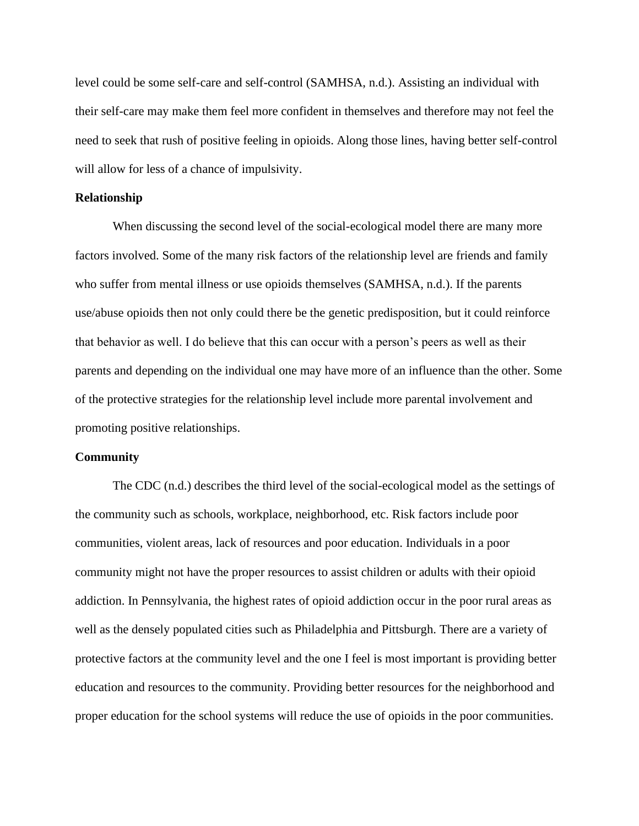level could be some self-care and self-control (SAMHSA, n.d.). Assisting an individual with their self-care may make them feel more confident in themselves and therefore may not feel the need to seek that rush of positive feeling in opioids. Along those lines, having better self-control will allow for less of a chance of impulsivity.

#### **Relationship**

When discussing the second level of the social-ecological model there are many more factors involved. Some of the many risk factors of the relationship level are friends and family who suffer from mental illness or use opioids themselves (SAMHSA, n.d.). If the parents use/abuse opioids then not only could there be the genetic predisposition, but it could reinforce that behavior as well. I do believe that this can occur with a person's peers as well as their parents and depending on the individual one may have more of an influence than the other. Some of the protective strategies for the relationship level include more parental involvement and promoting positive relationships.

#### **Community**

The CDC (n.d.) describes the third level of the social-ecological model as the settings of the community such as schools, workplace, neighborhood, etc. Risk factors include poor communities, violent areas, lack of resources and poor education. Individuals in a poor community might not have the proper resources to assist children or adults with their opioid addiction. In Pennsylvania, the highest rates of opioid addiction occur in the poor rural areas as well as the densely populated cities such as Philadelphia and Pittsburgh. There are a variety of protective factors at the community level and the one I feel is most important is providing better education and resources to the community. Providing better resources for the neighborhood and proper education for the school systems will reduce the use of opioids in the poor communities.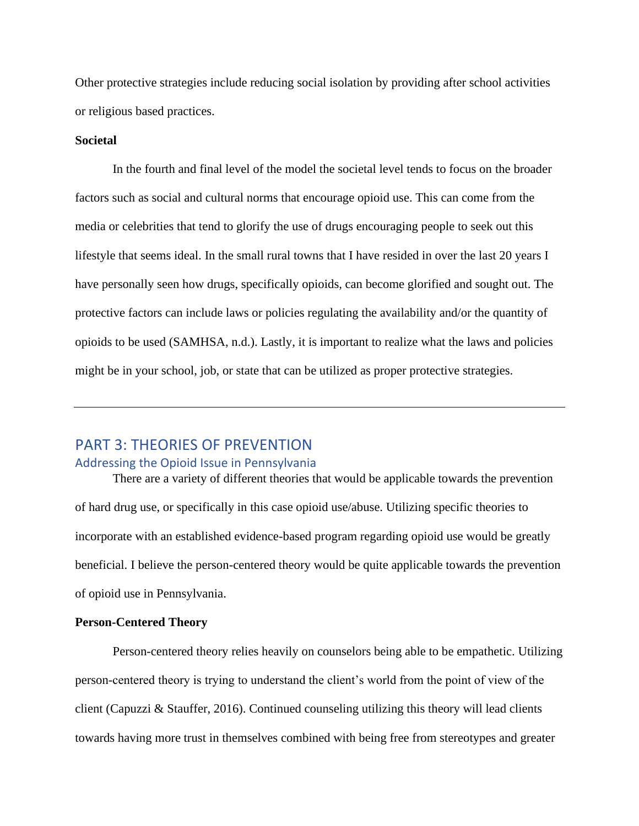Other protective strategies include reducing social isolation by providing after school activities or religious based practices.

#### **Societal**

In the fourth and final level of the model the societal level tends to focus on the broader factors such as social and cultural norms that encourage opioid use. This can come from the media or celebrities that tend to glorify the use of drugs encouraging people to seek out this lifestyle that seems ideal. In the small rural towns that I have resided in over the last 20 years I have personally seen how drugs, specifically opioids, can become glorified and sought out. The protective factors can include laws or policies regulating the availability and/or the quantity of opioids to be used (SAMHSA, n.d.). Lastly, it is important to realize what the laws and policies might be in your school, job, or state that can be utilized as proper protective strategies.

# <span id="page-7-0"></span>PART 3: THEORIES OF PREVENTION

#### Addressing the Opioid Issue in Pennsylvania

There are a variety of different theories that would be applicable towards the prevention of hard drug use, or specifically in this case opioid use/abuse. Utilizing specific theories to incorporate with an established evidence-based program regarding opioid use would be greatly beneficial. I believe the person-centered theory would be quite applicable towards the prevention of opioid use in Pennsylvania.

#### **Person-Centered Theory**

Person-centered theory relies heavily on counselors being able to be empathetic. Utilizing person-centered theory is trying to understand the client's world from the point of view of the client (Capuzzi & Stauffer, 2016). Continued counseling utilizing this theory will lead clients towards having more trust in themselves combined with being free from stereotypes and greater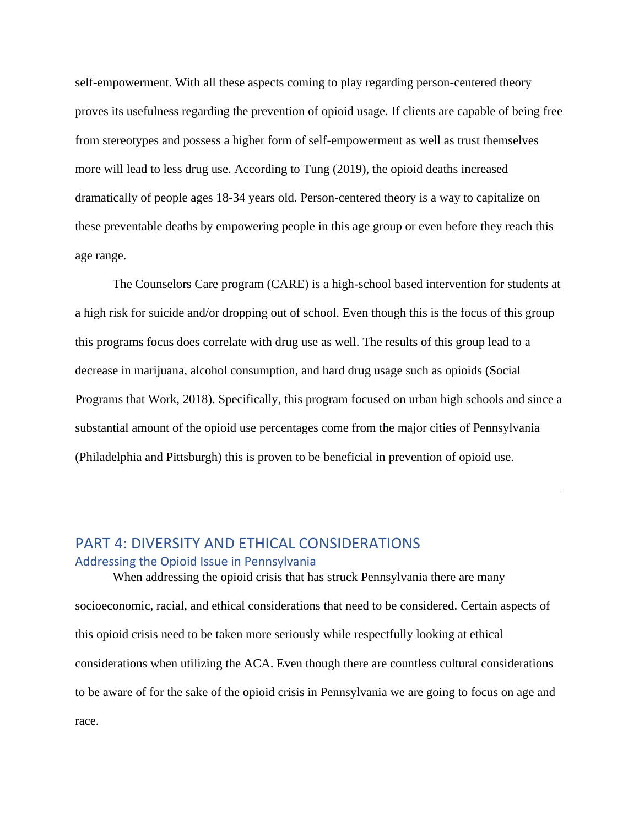self-empowerment. With all these aspects coming to play regarding person-centered theory proves its usefulness regarding the prevention of opioid usage. If clients are capable of being free from stereotypes and possess a higher form of self-empowerment as well as trust themselves more will lead to less drug use. According to Tung (2019), the opioid deaths increased dramatically of people ages 18-34 years old. Person-centered theory is a way to capitalize on these preventable deaths by empowering people in this age group or even before they reach this age range.

The Counselors Care program (CARE) is a high-school based intervention for students at a high risk for suicide and/or dropping out of school. Even though this is the focus of this group this programs focus does correlate with drug use as well. The results of this group lead to a decrease in marijuana, alcohol consumption, and hard drug usage such as opioids (Social Programs that Work, 2018). Specifically, this program focused on urban high schools and since a substantial amount of the opioid use percentages come from the major cities of Pennsylvania (Philadelphia and Pittsburgh) this is proven to be beneficial in prevention of opioid use.

### <span id="page-8-0"></span>PART 4: DIVERSITY AND ETHICAL CONSIDERATIONS Addressing the Opioid Issue in Pennsylvania

When addressing the opioid crisis that has struck Pennsylvania there are many socioeconomic, racial, and ethical considerations that need to be considered. Certain aspects of this opioid crisis need to be taken more seriously while respectfully looking at ethical considerations when utilizing the ACA. Even though there are countless cultural considerations to be aware of for the sake of the opioid crisis in Pennsylvania we are going to focus on age and race.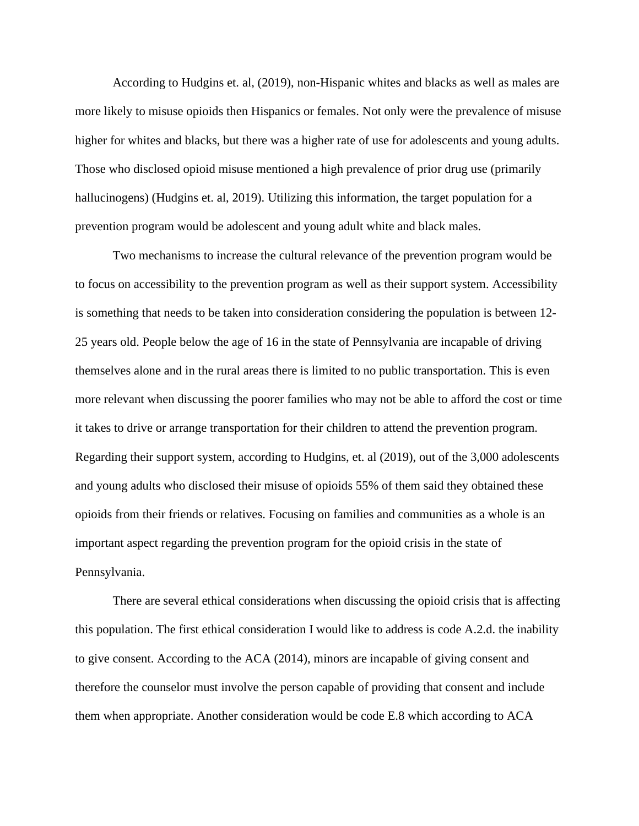According to Hudgins et. al, (2019), non-Hispanic whites and blacks as well as males are more likely to misuse opioids then Hispanics or females. Not only were the prevalence of misuse higher for whites and blacks, but there was a higher rate of use for adolescents and young adults. Those who disclosed opioid misuse mentioned a high prevalence of prior drug use (primarily hallucinogens) (Hudgins et. al, 2019). Utilizing this information, the target population for a prevention program would be adolescent and young adult white and black males.

Two mechanisms to increase the cultural relevance of the prevention program would be to focus on accessibility to the prevention program as well as their support system. Accessibility is something that needs to be taken into consideration considering the population is between 12- 25 years old. People below the age of 16 in the state of Pennsylvania are incapable of driving themselves alone and in the rural areas there is limited to no public transportation. This is even more relevant when discussing the poorer families who may not be able to afford the cost or time it takes to drive or arrange transportation for their children to attend the prevention program. Regarding their support system, according to Hudgins, et. al (2019), out of the 3,000 adolescents and young adults who disclosed their misuse of opioids 55% of them said they obtained these opioids from their friends or relatives. Focusing on families and communities as a whole is an important aspect regarding the prevention program for the opioid crisis in the state of Pennsylvania.

There are several ethical considerations when discussing the opioid crisis that is affecting this population. The first ethical consideration I would like to address is code A.2.d. the inability to give consent. According to the ACA (2014), minors are incapable of giving consent and therefore the counselor must involve the person capable of providing that consent and include them when appropriate. Another consideration would be code E.8 which according to ACA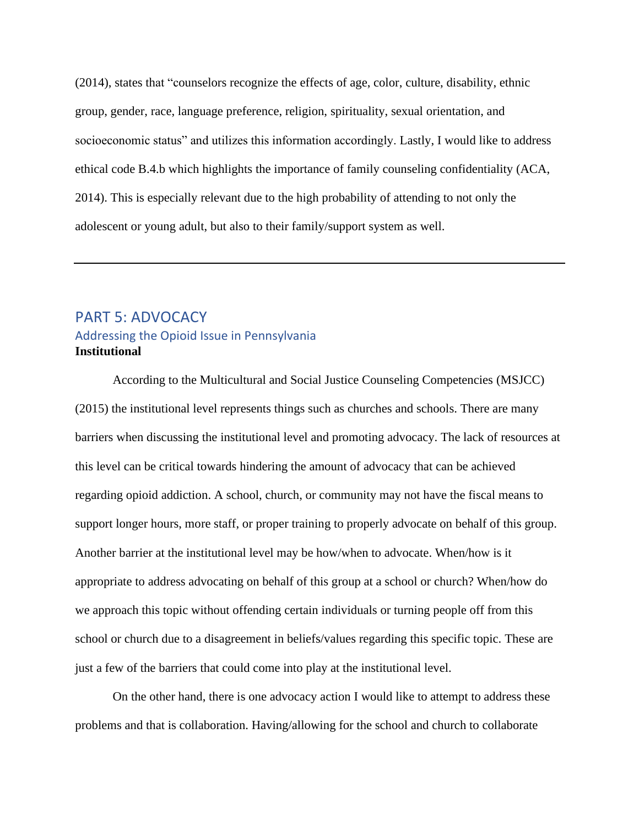(2014), states that "counselors recognize the effects of age, color, culture, disability, ethnic group, gender, race, language preference, religion, spirituality, sexual orientation, and socioeconomic status" and utilizes this information accordingly. Lastly, I would like to address ethical code B.4.b which highlights the importance of family counseling confidentiality (ACA, 2014). This is especially relevant due to the high probability of attending to not only the adolescent or young adult, but also to their family/support system as well.

# <span id="page-10-0"></span>PART 5: ADVOCACY Addressing the Opioid Issue in Pennsylvania **Institutional**

According to the Multicultural and Social Justice Counseling Competencies (MSJCC) (2015) the institutional level represents things such as churches and schools. There are many barriers when discussing the institutional level and promoting advocacy. The lack of resources at this level can be critical towards hindering the amount of advocacy that can be achieved regarding opioid addiction. A school, church, or community may not have the fiscal means to support longer hours, more staff, or proper training to properly advocate on behalf of this group. Another barrier at the institutional level may be how/when to advocate. When/how is it appropriate to address advocating on behalf of this group at a school or church? When/how do we approach this topic without offending certain individuals or turning people off from this school or church due to a disagreement in beliefs/values regarding this specific topic. These are just a few of the barriers that could come into play at the institutional level.

On the other hand, there is one advocacy action I would like to attempt to address these problems and that is collaboration. Having/allowing for the school and church to collaborate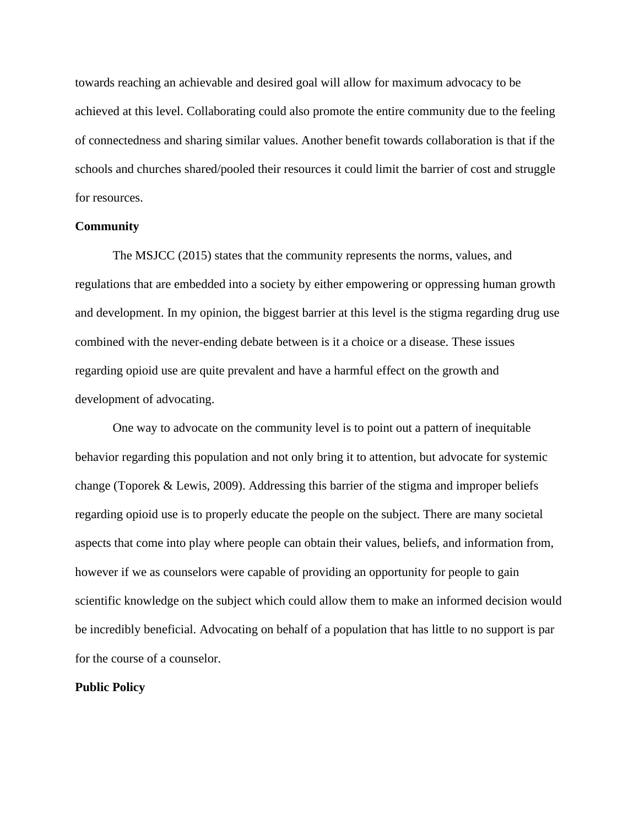towards reaching an achievable and desired goal will allow for maximum advocacy to be achieved at this level. Collaborating could also promote the entire community due to the feeling of connectedness and sharing similar values. Another benefit towards collaboration is that if the schools and churches shared/pooled their resources it could limit the barrier of cost and struggle for resources.

#### **Community**

The MSJCC (2015) states that the community represents the norms, values, and regulations that are embedded into a society by either empowering or oppressing human growth and development. In my opinion, the biggest barrier at this level is the stigma regarding drug use combined with the never-ending debate between is it a choice or a disease. These issues regarding opioid use are quite prevalent and have a harmful effect on the growth and development of advocating.

One way to advocate on the community level is to point out a pattern of inequitable behavior regarding this population and not only bring it to attention, but advocate for systemic change (Toporek & Lewis, 2009). Addressing this barrier of the stigma and improper beliefs regarding opioid use is to properly educate the people on the subject. There are many societal aspects that come into play where people can obtain their values, beliefs, and information from, however if we as counselors were capable of providing an opportunity for people to gain scientific knowledge on the subject which could allow them to make an informed decision would be incredibly beneficial. Advocating on behalf of a population that has little to no support is par for the course of a counselor.

#### **Public Policy**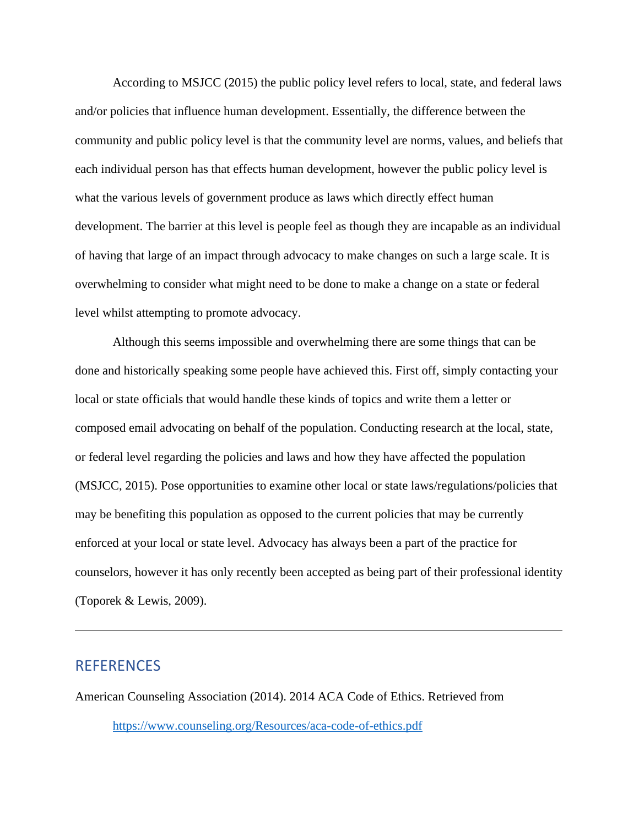According to MSJCC (2015) the public policy level refers to local, state, and federal laws and/or policies that influence human development. Essentially, the difference between the community and public policy level is that the community level are norms, values, and beliefs that each individual person has that effects human development, however the public policy level is what the various levels of government produce as laws which directly effect human development. The barrier at this level is people feel as though they are incapable as an individual of having that large of an impact through advocacy to make changes on such a large scale. It is overwhelming to consider what might need to be done to make a change on a state or federal level whilst attempting to promote advocacy.

Although this seems impossible and overwhelming there are some things that can be done and historically speaking some people have achieved this. First off, simply contacting your local or state officials that would handle these kinds of topics and write them a letter or composed email advocating on behalf of the population. Conducting research at the local, state, or federal level regarding the policies and laws and how they have affected the population (MSJCC, 2015). Pose opportunities to examine other local or state laws/regulations/policies that may be benefiting this population as opposed to the current policies that may be currently enforced at your local or state level. Advocacy has always been a part of the practice for counselors, however it has only recently been accepted as being part of their professional identity (Toporek & Lewis, 2009).

# <span id="page-12-0"></span>**REFERENCES**

American Counseling Association (2014). 2014 ACA Code of Ethics. Retrieved from <https://www.counseling.org/Resources/aca-code-of-ethics.pdf>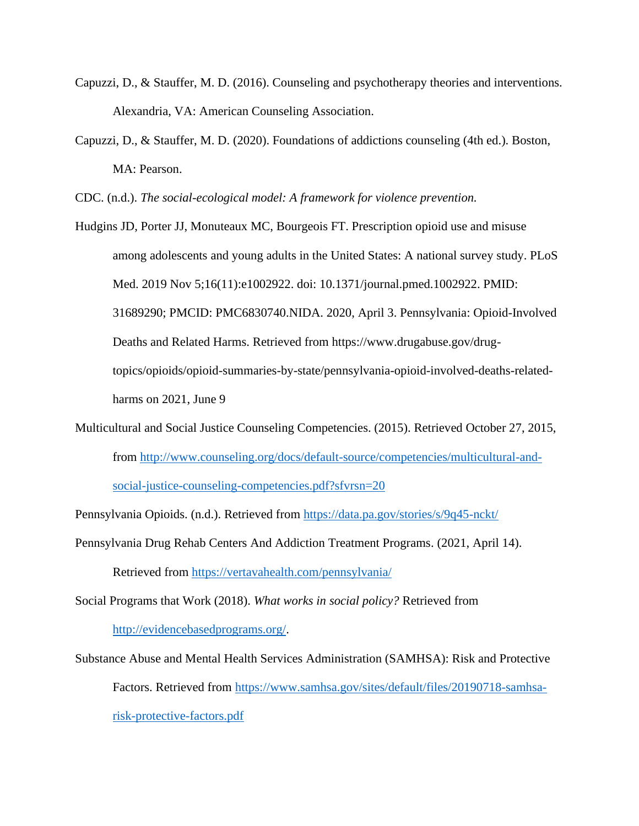- Capuzzi, D., & Stauffer, M. D. (2016). Counseling and psychotherapy theories and interventions. Alexandria, VA: American Counseling Association.
- Capuzzi, D., & Stauffer, M. D. (2020). Foundations of addictions counseling (4th ed.). Boston, MA: Pearson.

CDC. (n.d.). *The social-ecological model: A framework for violence prevention.*

Hudgins JD, Porter JJ, Monuteaux MC, Bourgeois FT. Prescription opioid use and misuse among adolescents and young adults in the United States: A national survey study. PLoS Med. 2019 Nov 5;16(11):e1002922. doi: 10.1371/journal.pmed.1002922. PMID: 31689290; PMCID: PMC6830740.NIDA. 2020, April 3. Pennsylvania: Opioid-Involved Deaths and Related Harms. Retrieved from https://www.drugabuse.gov/drugtopics/opioids/opioid-summaries-by-state/pennsylvania-opioid-involved-deaths-relatedharms on 2021, June 9

Multicultural and Social Justice Counseling Competencies. (2015). Retrieved October 27, 2015, from http://www.counseling.org/docs/default-source/competencies/multicultural-andsocial-justice-counseling-competencies.pdf?sfvrsn=20

Pennsylvania Opioids. (n.d.). Retrieved from https://data.pa.gov/stories/s/9q45-nckt/

Pennsylvania Drug Rehab Centers And Addiction Treatment Programs. (2021, April 14).

Retrieved from https://vertavahealth.com/pennsylvania/

Social Programs that Work (2018). *What works in social policy?* Retrieved from http://evidencebasedprograms.org/.

Substance Abuse and Mental Health Services Administration (SAMHSA): Risk and Protective Factors. Retrieved from https://www.samhsa.gov/sites/default/files/20190718-samhsarisk-protective-factors.pdf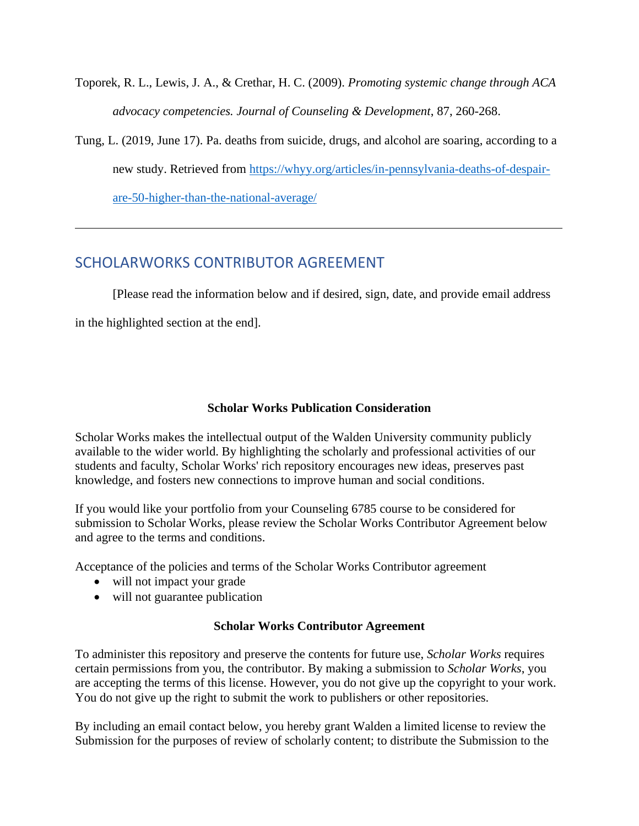- Toporek, R. L., Lewis, J. A., & Crethar, H. C. (2009). *Promoting systemic change through ACA advocacy competencies. Journal of Counseling & Development*, 87, 260-268.
- Tung, L. (2019, June 17). Pa. deaths from suicide, drugs, and alcohol are soaring, according to a new study. Retrieved from https://whyy.org/articles/in-pennsylvania-deaths-of-despairare-50-higher-than-the-national-average/

# <span id="page-14-0"></span>SCHOLARWORKS CONTRIBUTOR AGREEMENT

[Please read the information below and if desired, sign, date, and provide email address in the highlighted section at the end].

## **Scholar Works Publication Consideration**

Scholar Works makes the intellectual output of the Walden University community publicly available to the wider world. By highlighting the scholarly and professional activities of our students and faculty, Scholar Works' rich repository encourages new ideas, preserves past knowledge, and fosters new connections to improve human and social conditions.

If you would like your portfolio from your Counseling 6785 course to be considered for submission to Scholar Works, please review the Scholar Works Contributor Agreement below and agree to the terms and conditions.

Acceptance of the policies and terms of the Scholar Works Contributor agreement

- will not impact your grade
- will not guarantee publication

### **Scholar Works Contributor Agreement**

To administer this repository and preserve the contents for future use, *Scholar Works* requires certain permissions from you, the contributor. By making a submission to *Scholar Works*, you are accepting the terms of this license. However, you do not give up the copyright to your work. You do not give up the right to submit the work to publishers or other repositories.

By including an email contact below, you hereby grant Walden a limited license to review the Submission for the purposes of review of scholarly content; to distribute the Submission to the